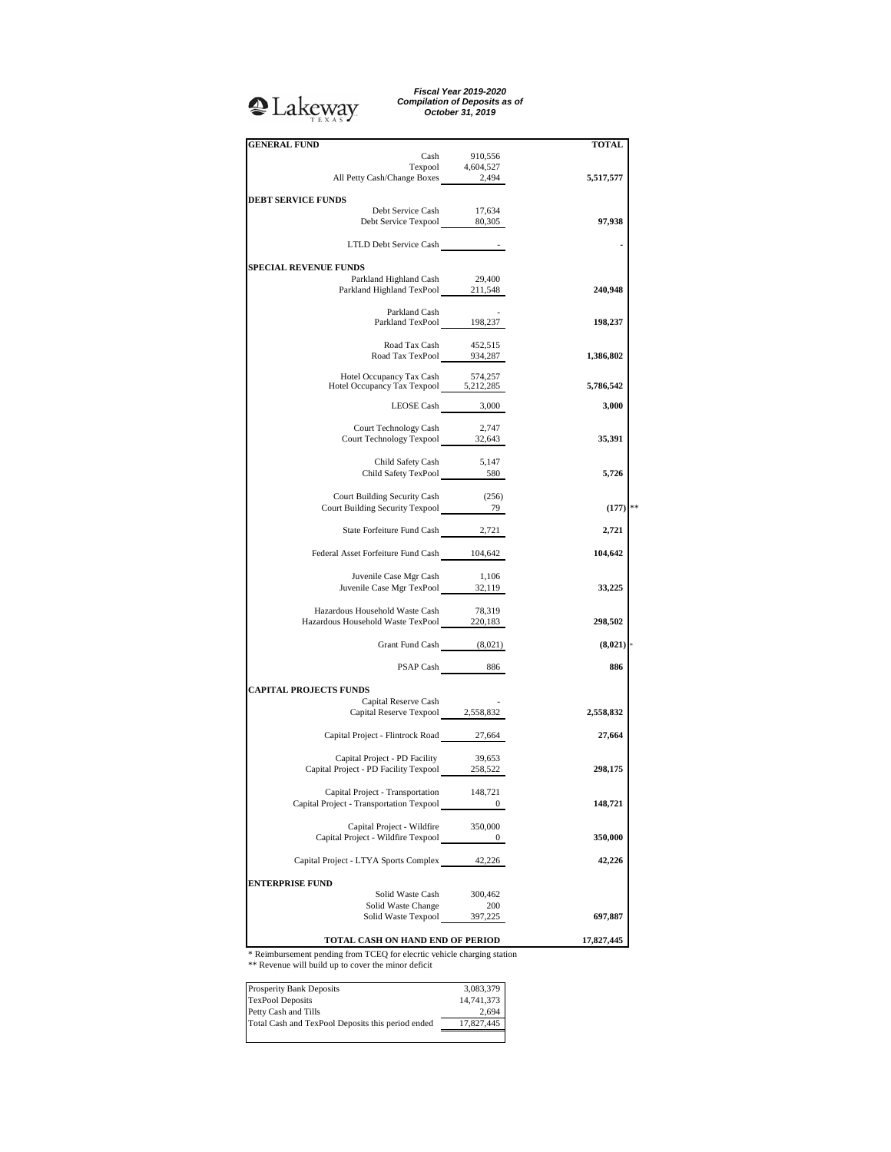<sup>2</sup>Lakeway

*Fiscal Year 2019-2020 Compilation of Deposits as of October 31, 2019*

|    | <b>TOTAL</b> |                  | <b>GENERAL FUND</b>                                                                                                                                                                                          |
|----|--------------|------------------|--------------------------------------------------------------------------------------------------------------------------------------------------------------------------------------------------------------|
|    |              |                  |                                                                                                                                                                                                              |
|    |              |                  | $\begin{tabular}{l c c c} \multicolumn{1}{c }{\text{Cash}} & 910,556 \\ \multicolumn{1}{c }{\text{Tempool}} & 4,604,527 \\ \multicolumn{1}{c }{\text{All Petty Cash/Change Boxes}} & 2,494 \\ \end{tabular}$ |
|    | 5,517,577    |                  |                                                                                                                                                                                                              |
|    |              |                  | <b>DEBT SERVICE FUNDS</b>                                                                                                                                                                                    |
|    | 97,938       | 17,634           | Debt Service Cash<br>Debt Service Texpool 80,305                                                                                                                                                             |
|    |              |                  |                                                                                                                                                                                                              |
|    |              |                  | LTLD Debt Service Cash                                                                                                                                                                                       |
|    |              |                  | <b>SPECIAL REVENUE FUNDS</b>                                                                                                                                                                                 |
|    |              | 29,400           | Parkland Highland Cash                                                                                                                                                                                       |
|    | 240,948      |                  | Parkland Highland TexPool 211,548                                                                                                                                                                            |
|    |              |                  | Parkland Cash                                                                                                                                                                                                |
|    | 198,237      |                  | Parkland TexPool 198,237                                                                                                                                                                                     |
|    |              |                  |                                                                                                                                                                                                              |
|    |              |                  | Road Tax Cash<br>$452,515$<br>Road Tax TexPool<br>934,287                                                                                                                                                    |
|    | 1,386,802    |                  |                                                                                                                                                                                                              |
|    |              | 574,257          | Hotel Occupancy Tax Cash                                                                                                                                                                                     |
|    | 5,786,542    |                  | Hotel Occupancy 1ax Cash 574,257<br>Hotel Occupancy Tax Texpool 5,212,285                                                                                                                                    |
|    | 3,000        | LEOSE Cash 3,000 |                                                                                                                                                                                                              |
|    |              |                  |                                                                                                                                                                                                              |
|    |              | 2,747            | Court Technology Cash<br>Court Technology Texpool 32,643                                                                                                                                                     |
|    | 35,391       |                  |                                                                                                                                                                                                              |
|    |              | 5,147            | Child Safety Cash                                                                                                                                                                                            |
|    | 5,726        |                  | Child Safety Cash 5,147<br>Child Safety TexPool 580                                                                                                                                                          |
|    |              |                  |                                                                                                                                                                                                              |
| ** | (177)        | (256)            | Court Building Security Cash<br>Court Building Security Cash (256)<br>Court Building Security Texpool 79                                                                                                     |
|    |              |                  |                                                                                                                                                                                                              |
|    | 2,721        |                  | State Forfeiture Fund Cash 2,721                                                                                                                                                                             |
|    |              |                  |                                                                                                                                                                                                              |
|    | 104,642      |                  | Federal Asset Forfeiture Fund Cash 104,642                                                                                                                                                                   |
|    |              | 1,106            | Juvenile Case Mgr Cash                                                                                                                                                                                       |
|    | 33,225       |                  | Juvenile Case Mgr TexPool 32,119                                                                                                                                                                             |
|    |              | 78,319           | Hazardous Household Waste Cash                                                                                                                                                                               |
|    | 298,502      |                  | Hazardous Household Waste TexPool 220,183                                                                                                                                                                    |
|    |              |                  |                                                                                                                                                                                                              |
|    | (8,021)      |                  | Grant Fund Cash (8,021)                                                                                                                                                                                      |
|    | 886          | PSAP Cash 886    |                                                                                                                                                                                                              |
|    |              |                  |                                                                                                                                                                                                              |
|    |              |                  | <b>CAPITAL PROJECTS FUNDS</b>                                                                                                                                                                                |
|    | 2,558,832    |                  | Capital Reserve Cash<br>Capital Reserve Texpool 2,558,832                                                                                                                                                    |
|    |              |                  |                                                                                                                                                                                                              |
|    | 27,664       |                  | Capital Project - Flintrock Road 27,664                                                                                                                                                                      |
|    |              |                  |                                                                                                                                                                                                              |
|    | 298,175      | 39,653           | Capital Project - PD Facility<br>Capital Project - PD Facility Texpool 258,522                                                                                                                               |
|    |              |                  |                                                                                                                                                                                                              |
|    |              | 148,721          | Capital Project - Transportation                                                                                                                                                                             |
|    | 148,721      | $\boldsymbol{0}$ | Capital Project - Transportation Texpool                                                                                                                                                                     |
|    |              | 350,000          | Capital Project - Wildfire                                                                                                                                                                                   |
|    | 350,000      | 0                | Capital Project - Wildfire Texpool                                                                                                                                                                           |
|    |              |                  |                                                                                                                                                                                                              |
|    | 42,226       |                  | Capital Project - LTYA Sports Complex 42,226                                                                                                                                                                 |
|    |              |                  | <b>ENTERPRISE FUND</b>                                                                                                                                                                                       |
|    |              | 300,462          | Solid Waste Cash                                                                                                                                                                                             |
|    |              | 200              | Solid Waste Change                                                                                                                                                                                           |
|    | 697,887      | 397,225          | Solid Waste Texpool                                                                                                                                                                                          |
|    | 17,827,445   |                  | TOTAL CASH ON HAND END OF PERIOD                                                                                                                                                                             |
|    |              |                  |                                                                                                                                                                                                              |

\* Reimbursement pending from TCEQ for elecrtic vehicle charging station \*\* Revenue will build up to cover the minor deficit

| <b>Prosperity Bank Deposits</b>                   | 3,083,379  |
|---------------------------------------------------|------------|
| <b>TexPool Deposits</b>                           | 14,741,373 |
| Petty Cash and Tills                              | 2.694      |
| Total Cash and TexPool Deposits this period ended | 17.827.445 |